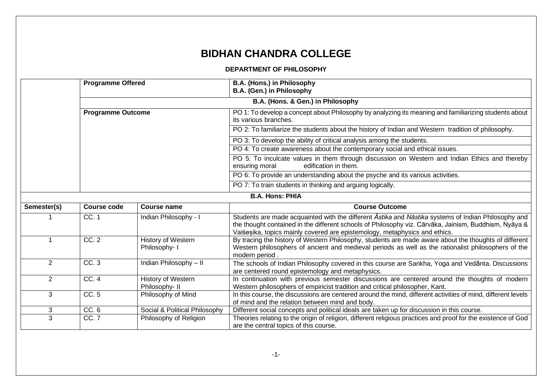## **BIDHAN CHANDRA COLLEGE**

## **DEPARTMENT OF PHILOSOPHY**

|                | <b>Programme Offered</b> |                                      | B.A. (Hons.) in Philosophy<br>B.A. (Gen.) in Philosophy                                                                                                                                                                                                                                    |
|----------------|--------------------------|--------------------------------------|--------------------------------------------------------------------------------------------------------------------------------------------------------------------------------------------------------------------------------------------------------------------------------------------|
|                |                          |                                      | B.A. (Hons. & Gen.) in Philosophy                                                                                                                                                                                                                                                          |
|                | <b>Programme Outcome</b> |                                      | PO 1: To develop a concept about Philosophy by analyzing its meaning and familiarizing students about<br>its various branches.                                                                                                                                                             |
|                |                          |                                      | PO 2: To familiarize the students about the history of Indian and Western tradition of philosophy.                                                                                                                                                                                         |
|                |                          |                                      | PO 3: To develop the ability of critical analysis among the students.                                                                                                                                                                                                                      |
|                |                          |                                      | PO 4: To create awareness about the contemporary social and ethical issues.                                                                                                                                                                                                                |
|                |                          |                                      | PO 5: To inculcate values in them through discussion on Western and Indian Ethics and thereby<br>edification in them.<br>ensuring moral                                                                                                                                                    |
|                |                          |                                      | PO 6: To provide an understanding about the psyche and its various activities.                                                                                                                                                                                                             |
|                |                          |                                      | PO 7: To train students in thinking and arguing logically.                                                                                                                                                                                                                                 |
|                |                          |                                      | <b>B.A. Hons: PHIA</b>                                                                                                                                                                                                                                                                     |
| Semester(s)    | Course code              | <b>Course name</b>                   | <b>Course Outcome</b>                                                                                                                                                                                                                                                                      |
|                | CC. 1                    | Indian Philosophy - I                | Students are made acquainted with the different Astika and Nastika systems of Indian Philosophy and<br>the thought contained in the different schools of Philosophy viz. Cārvāka, Jainism, Buddhism, Nyāya &<br>Vaiśesika, topics mainly covered are epistemology, metaphysics and ethics. |
|                | CC.2                     | History of Western<br>Philosophy- I  | By tracing the history of Western Philosophy, students are made aware about the thoughts of different<br>Western philosophers of ancient and medieval periods as well as the rationalist philosophers of the<br>modern period.                                                             |
| $\overline{2}$ | CC.3                     | Indian Philosophy - II               | The schools of Indian Philosophy covered in this course are Sankha, Yoga and Vedānta. Discussions<br>are centered round epistemology and metaphysics.                                                                                                                                      |
| $\overline{2}$ | CC. 4                    | History of Western<br>Philosophy- II | In continuation with previous semester discussions are centered around the thoughts of modern<br>Western philosophers of empiricist tradition and critical philosopher, Kant.                                                                                                              |
| 3              | CC. 5                    | Philosophy of Mind                   | In this course, the discussions are centered around the mind, different activities of mind, different levels<br>of mind and the relation between mind and body.                                                                                                                            |
| 3              | CC.6                     | Social & Political Philosophy        | Different social concepts and political ideals are taken up for discussion in this course.                                                                                                                                                                                                 |
| 3              | CC.7                     | Philosophy of Religion               | Theories relating to the origin of religion, different religious practices and proof for the existence of God<br>are the central topics of this course.                                                                                                                                    |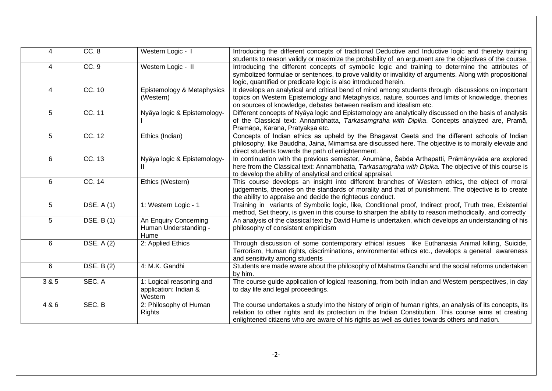| 4     | CC.8              | Western Logic - I                                            | Introducing the different concepts of traditional Deductive and Inductive logic and thereby training<br>students to reason validly or maximize the probability of an argument are the objectives of the course.                                                                                                     |
|-------|-------------------|--------------------------------------------------------------|---------------------------------------------------------------------------------------------------------------------------------------------------------------------------------------------------------------------------------------------------------------------------------------------------------------------|
| 4     | CC.9              | Western Logic - II                                           | Introducing the different concepts of symbolic logic and training to determine the attributes of<br>symbolized formulae or sentences, to prove validity or invalidity of arguments. Along with propositional<br>logic, quantified or predicate logic is also introduced herein.                                     |
| 4     | CC. 10            | Epistemology & Metaphysics<br>(Western)                      | It develops an analytical and critical bend of mind among students through discussions on important<br>topics on Western Epistemology and Metaphysics, nature, sources and limits of knowledge, theories<br>on sources of knowledge, debates between realism and idealism etc.                                      |
| 5     | CC. 11            | Nyāya logic & Epistemology-                                  | Different concepts of Nyaya logic and Epistemology are analytically discussed on the basis of analysis<br>of the Classical text: Annambhatta, Tarkasamgraha with Dipika. Concepts analyzed are, Pramā,<br>Pramāņa, Karana, Pratyakṣa etc.                                                                           |
| 5     | CC. 12            | Ethics (Indian)                                              | Concepts of Indian ethics as upheld by the Bhagavat Geeta and the different schools of Indian<br>philosophy, like Bauddha, Jaina, Mimamsa are discussed here. The objective is to morally elevate and<br>direct students towards the path of enlightenment.                                                         |
| 6     | CC.13             | Nyāya logic & Epistemology-<br>Ш                             | In continuation with the previous semester, Anumāna, Sabda Arthapatti, Prāmānyvāda are explored<br>here from the Classical text: Annambhatta, Tarkasamgraha with Dipika. The objective of this course is<br>to develop the ability of analytical and critical appraisal.                                            |
| 6     | CC.14             | Ethics (Western)                                             | This course develops an insight into different branches of Western ethics, the object of moral<br>judgements, theories on the standards of morality and that of punishment. The objective is to create<br>the ability to appraise and decide the righteous conduct.                                                 |
| 5     | DSE. A (1)        | 1: Western Logic - 1                                         | Training in variants of Symbolic logic, like, Conditional proof, Indirect proof, Truth tree, Existential<br>method, Set theory, is given in this course to sharpen the ability to reason methodically. and correctly                                                                                                |
| 5     | <b>DSE. B(1)</b>  | An Enquiry Concerning<br>Human Understanding -<br>Hume       | An analysis of the classical text by David Hume is undertaken, which develops an understanding of his<br>philosophy of consistent empiricism                                                                                                                                                                        |
| 6     | DSE. $A(2)$       | 2: Applied Ethics                                            | Through discussion of some contemporary ethical issues like Euthanasia Animal killing, Suicide,<br>Terrorism, Human rights, discriminations, environmental ethics etc., develops a general awareness<br>and sensitivity among students                                                                              |
| 6     | <b>DSE. B (2)</b> | 4: M.K. Gandhi                                               | Students are made aware about the philosophy of Mahatma Gandhi and the social reforms undertaken<br>by him.                                                                                                                                                                                                         |
| 3 & 5 | SEC. A            | 1: Logical reasoning and<br>application: Indian &<br>Western | The course guide application of logical reasoning, from both Indian and Western perspectives, in day<br>to day life and legal proceedings.                                                                                                                                                                          |
| 4 & 6 | SEC. B            | 2: Philosophy of Human<br><b>Rights</b>                      | The course undertakes a study into the history of origin of human rights, an analysis of its concepts, its<br>relation to other rights and its protection in the Indian Constitution. This course aims at creating<br>enlightened citizens who are aware of his rights as well as duties towards others and nation. |